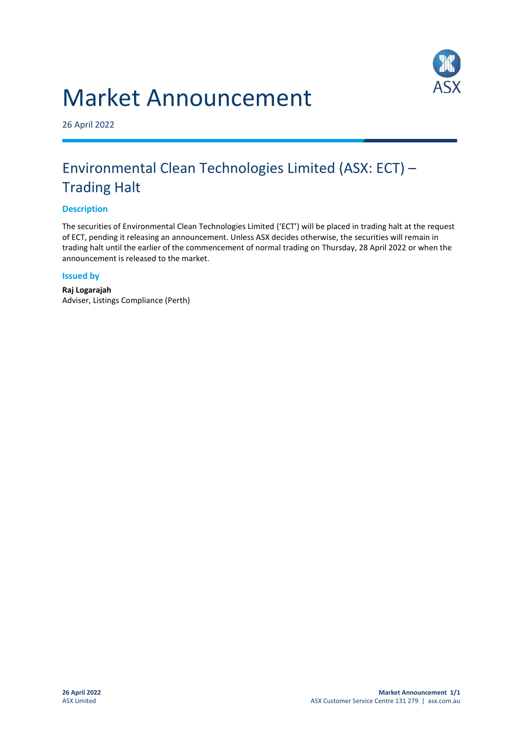# Market Announcement



26 April 2022

## Environmental Clean Technologies Limited (ASX: ECT) – Trading Halt

### **Description**

The securities of Environmental Clean Technologies Limited ('ECT') will be placed in trading halt at the request of ECT, pending it releasing an announcement. Unless ASX decides otherwise, the securities will remain in trading halt until the earlier of the commencement of normal trading on Thursday, 28 April 2022 or when the announcement is released to the market.

#### **Issued by**

**Raj Logarajah** Adviser, Listings Compliance (Perth)